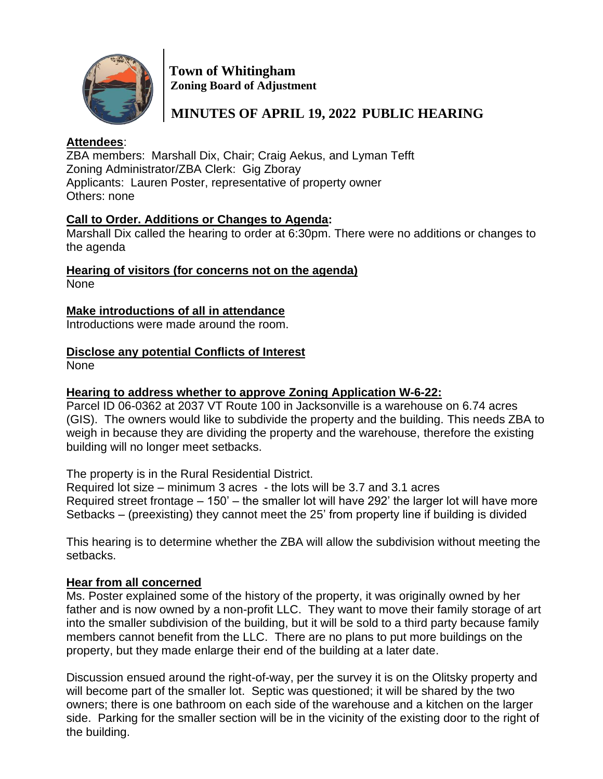

 **Town of Whitingham Zoning Board of Adjustment**

 **MINUTES OF APRIL 19, 2022 PUBLIC HEARING**

## **Attendees**:

ZBA members: Marshall Dix, Chair; Craig Aekus, and Lyman Tefft Zoning Administrator/ZBA Clerk: Gig Zboray Applicants: Lauren Poster, representative of property owner Others: none

### **Call to Order. Additions or Changes to Agenda:**

Marshall Dix called the hearing to order at 6:30pm. There were no additions or changes to the agenda

**Hearing of visitors (for concerns not on the agenda)**

None

## **Make introductions of all in attendance**

Introductions were made around the room.

## **Disclose any potential Conflicts of Interest**

None

# **Hearing to address whether to approve Zoning Application W-6-22:**

Parcel ID 06-0362 at 2037 VT Route 100 in Jacksonville is a warehouse on 6.74 acres (GIS). The owners would like to subdivide the property and the building. This needs ZBA to weigh in because they are dividing the property and the warehouse, therefore the existing building will no longer meet setbacks.

The property is in the Rural Residential District.

Required lot size – minimum 3 acres - the lots will be 3.7 and 3.1 acres Required street frontage – 150' – the smaller lot will have 292' the larger lot will have more Setbacks – (preexisting) they cannot meet the 25' from property line if building is divided

This hearing is to determine whether the ZBA will allow the subdivision without meeting the setbacks.

### **Hear from all concerned**

Ms. Poster explained some of the history of the property, it was originally owned by her father and is now owned by a non-profit LLC. They want to move their family storage of art into the smaller subdivision of the building, but it will be sold to a third party because family members cannot benefit from the LLC. There are no plans to put more buildings on the property, but they made enlarge their end of the building at a later date.

Discussion ensued around the right-of-way, per the survey it is on the Olitsky property and will become part of the smaller lot. Septic was questioned; it will be shared by the two owners; there is one bathroom on each side of the warehouse and a kitchen on the larger side. Parking for the smaller section will be in the vicinity of the existing door to the right of the building.